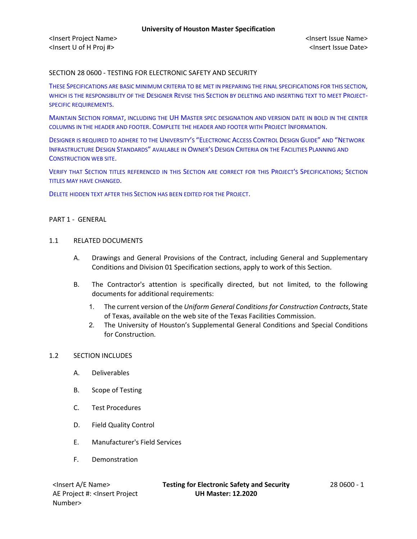### SECTION 28 0600 - TESTING FOR ELECTRONIC SAFETY AND SECURITY

THESE SPECIFICATIONS ARE BASIC MINIMUM CRITERIA TO BE MET IN PREPARING THE FINAL SPECIFICATIONS FOR THIS SECTION, WHICH IS THE RESPONSIBILITY OF THE DESIGNER REVISE THIS SECTION BY DELETING AND INSERTING TEXT TO MEET PROJECT-SPECIFIC REQUIREMENTS.

MAINTAIN SECTION FORMAT, INCLUDING THE UH MASTER SPEC DESIGNATION AND VERSION DATE IN BOLD IN THE CENTER COLUMNS IN THE HEADER AND FOOTER. COMPLETE THE HEADER AND FOOTER WITH PROJECT INFORMATION.

DESIGNER IS REQUIRED TO ADHERE TO THE UNIVERSITY'S "ELECTRONIC ACCESS CONTROL DESIGN GUIDE" AND "NETWORK INFRASTRUCTURE DESIGN STANDARDS" AVAILABLE IN OWNER'S DESIGN CRITERIA ON THE FACILITIES PLANNING AND CONSTRUCTION WEB SITE.

VERIFY THAT SECTION TITLES REFERENCED IN THIS SECTION ARE CORRECT FOR THIS PROJECT'S SPECIFICATIONS; SECTION TITLES MAY HAVE CHANGED.

DELETE HIDDEN TEXT AFTER THIS SECTION HAS BEEN EDITED FOR THE PROJECT.

#### PART 1 - GENERAL

#### 1.1 RELATED DOCUMENTS

- A. Drawings and General Provisions of the Contract, including General and Supplementary Conditions and Division 01 Specification sections, apply to work of this Section.
- B. The Contractor's attention is specifically directed, but not limited, to the following documents for additional requirements:
	- 1. The current version of the *Uniform General Conditions for Construction Contracts*, State of Texas, available on the web site of the Texas Facilities Commission.
	- 2. The University of Houston's Supplemental General Conditions and Special Conditions for Construction.

#### 1.2 SECTION INCLUDES

- A. Deliverables
- B. Scope of Testing
- C. Test Procedures
- D. Field Quality Control
- E. Manufacturer's Field Services
- F. Demonstration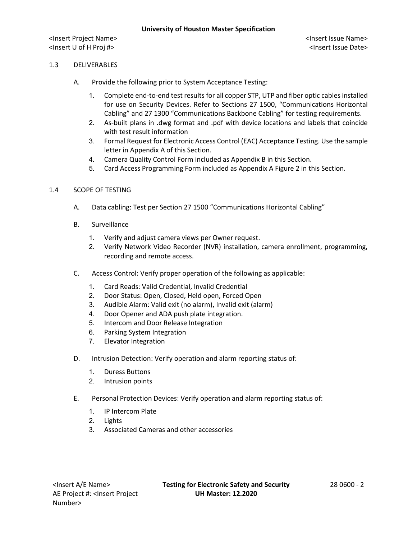<Insert Project Name> <Insert Issue Name> <Insert U of H Proj #> <Insert Issue Date>

## 1.3 DELIVERABLES

- A. Provide the following prior to System Acceptance Testing:
	- 1. Complete end-to-end test results for all copper STP, UTP and fiber optic cables installed for use on Security Devices. Refer to Sections 27 1500, "Communications Horizontal Cabling" and 27 1300 "Communications Backbone Cabling" for testing requirements.
	- 2. As-built plans in .dwg format and .pdf with device locations and labels that coincide with test result information
	- 3. Formal Request for Electronic Access Control (EAC) Acceptance Testing. Use the sample letter in Appendix A of this Section.
	- 4. Camera Quality Control Form included as Appendix B in this Section.
	- 5. Card Access Programming Form included as Appendix A Figure 2 in this Section.

### 1.4 SCOPE OF TESTING

- A. Data cabling: Test per Section 27 1500 "Communications Horizontal Cabling"
- B. Surveillance
	- 1. Verify and adjust camera views per Owner request.
	- 2. Verify Network Video Recorder (NVR) installation, camera enrollment, programming, recording and remote access.
- C. Access Control: Verify proper operation of the following as applicable:
	- 1. Card Reads: Valid Credential, Invalid Credential
	- 2. Door Status: Open, Closed, Held open, Forced Open
	- 3. Audible Alarm: Valid exit (no alarm), Invalid exit (alarm)
	- 4. Door Opener and ADA push plate integration.
	- 5. Intercom and Door Release Integration
	- 6. Parking System Integration
	- 7. Elevator Integration
- D. Intrusion Detection: Verify operation and alarm reporting status of:
	- 1. Duress Buttons
	- 2. Intrusion points
- E. Personal Protection Devices: Verify operation and alarm reporting status of:
	- 1. IP Intercom Plate
	- 2. Lights
	- 3. Associated Cameras and other accessories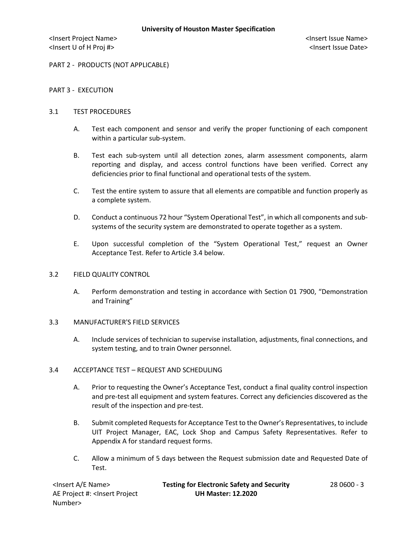<Insert Project Name> <Insert Issue Name> <Insert U of H Proj #> <Insert Issue Date>

PART 2 - PRODUCTS (NOT APPLICABLE)

### PART 3 - EXECUTION

#### 3.1 TEST PROCEDURES

- A. Test each component and sensor and verify the proper functioning of each component within a particular sub-system.
- B. Test each sub-system until all detection zones, alarm assessment components, alarm reporting and display, and access control functions have been verified. Correct any deficiencies prior to final functional and operational tests of the system.
- C. Test the entire system to assure that all elements are compatible and function properly as a complete system.
- D. Conduct a continuous 72 hour "System Operational Test", in which all components and subsystems of the security system are demonstrated to operate together as a system.
- E. Upon successful completion of the "System Operational Test," request an Owner Acceptance Test. Refer to Article 3.4 below.

#### 3.2 FIELD QUALITY CONTROL

A. Perform demonstration and testing in accordance with Section 01 7900, "Demonstration and Training"

### 3.3 MANUFACTURER'S FIELD SERVICES

A. Include services of technician to supervise installation, adjustments, final connections, and system testing, and to train Owner personnel.

#### 3.4 ACCEPTANCE TEST – REQUEST AND SCHEDULING

- A. Prior to requesting the Owner's Acceptance Test, conduct a final quality control inspection and pre-test all equipment and system features. Correct any deficiencies discovered as the result of the inspection and pre-test.
- B. Submit completed Requests for Acceptance Test to the Owner's Representatives, to include UIT Project Manager, EAC, Lock Shop and Campus Safety Representatives. Refer to Appendix A for standard request forms.
- C. Allow a minimum of 5 days between the Request submission date and Requested Date of Test.

| <lnsert a="" e="" name=""></lnsert>                                                          | <b>Testing for Electronic Safety and Security</b> | 28 0600 - 3 |
|----------------------------------------------------------------------------------------------|---------------------------------------------------|-------------|
| AE Project #: <lnsert project<="" td=""><td><b>UH Master: 12.2020</b></td><td></td></lnsert> | <b>UH Master: 12.2020</b>                         |             |
| Number>                                                                                      |                                                   |             |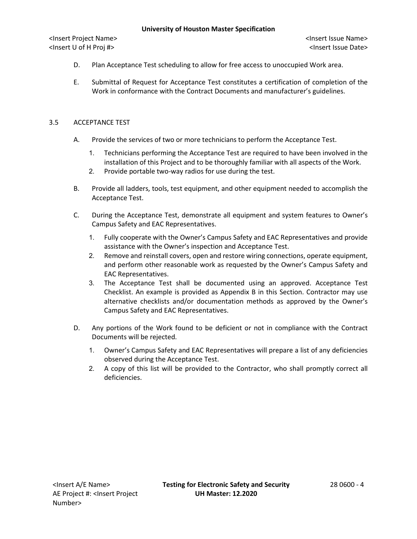<Insert Project Name> <Insert Issue Name> <Insert U of H Proj #> <Insert Issue Date>

- D. Plan Acceptance Test scheduling to allow for free access to unoccupied Work area.
- E. Submittal of Request for Acceptance Test constitutes a certification of completion of the Work in conformance with the Contract Documents and manufacturer's guidelines.

### 3.5 ACCEPTANCE TEST

- A. Provide the services of two or more technicians to perform the Acceptance Test.
	- 1. Technicians performing the Acceptance Test are required to have been involved in the installation of this Project and to be thoroughly familiar with all aspects of the Work.
	- 2. Provide portable two-way radios for use during the test.
- B. Provide all ladders, tools, test equipment, and other equipment needed to accomplish the Acceptance Test.
- C. During the Acceptance Test, demonstrate all equipment and system features to Owner's Campus Safety and EAC Representatives.
	- 1. Fully cooperate with the Owner's Campus Safety and EAC Representatives and provide assistance with the Owner's inspection and Acceptance Test.
	- 2. Remove and reinstall covers, open and restore wiring connections, operate equipment, and perform other reasonable work as requested by the Owner's Campus Safety and EAC Representatives.
	- 3. The Acceptance Test shall be documented using an approved. Acceptance Test Checklist. An example is provided as Appendix B in this Section. Contractor may use alternative checklists and/or documentation methods as approved by the Owner's Campus Safety and EAC Representatives.
- D. Any portions of the Work found to be deficient or not in compliance with the Contract Documents will be rejected.
	- 1. Owner's Campus Safety and EAC Representatives will prepare a list of any deficiencies observed during the Acceptance Test.
	- 2. A copy of this list will be provided to the Contractor, who shall promptly correct all deficiencies.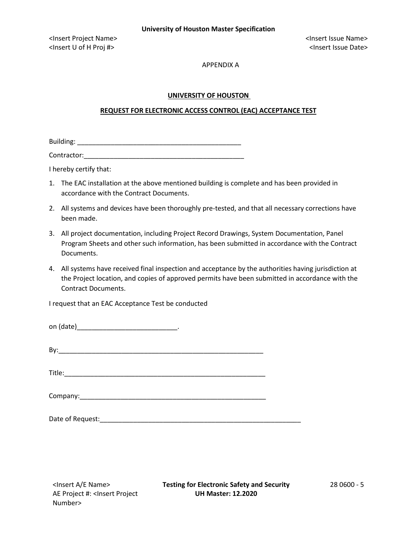#### APPENDIX A

### **UNIVERSITY OF HOUSTON**

### **REQUEST FOR ELECTRONIC ACCESS CONTROL (EAC) ACCEPTANCE TEST**

Building: \_\_\_\_\_\_\_\_\_\_\_\_\_\_\_\_\_\_\_\_\_\_\_\_\_\_\_\_\_\_\_\_\_\_\_\_\_\_\_\_\_\_\_\_

Contractor:

I hereby certify that:

- 1. The EAC installation at the above mentioned building is complete and has been provided in accordance with the Contract Documents.
- 2. All systems and devices have been thoroughly pre-tested, and that all necessary corrections have been made.
- 3. All project documentation, including Project Record Drawings, System Documentation, Panel Program Sheets and other such information, has been submitted in accordance with the Contract Documents.
- 4. All systems have received final inspection and acceptance by the authorities having jurisdiction at the Project location, and copies of approved permits have been submitted in accordance with the Contract Documents.

I request that an EAC Acceptance Test be conducted

| on (date) |  |  |
|-----------|--|--|
|-----------|--|--|

|--|

 $\textsf{Title:}\quad\textcolor{red}{\blacksquare}$ 

Company:\_\_\_\_\_\_\_\_\_\_\_\_\_\_\_\_\_\_\_\_\_\_\_\_\_\_\_\_\_\_\_\_\_\_\_\_\_\_\_\_\_\_\_\_\_\_\_\_\_\_

Date of Request:\_\_\_\_\_\_\_\_\_\_\_\_\_\_\_\_\_\_\_\_\_\_\_\_\_\_\_\_\_\_\_\_\_\_\_\_\_\_\_\_\_\_\_\_\_\_\_\_\_\_\_\_\_\_

AE Project #: <Insert Project Number>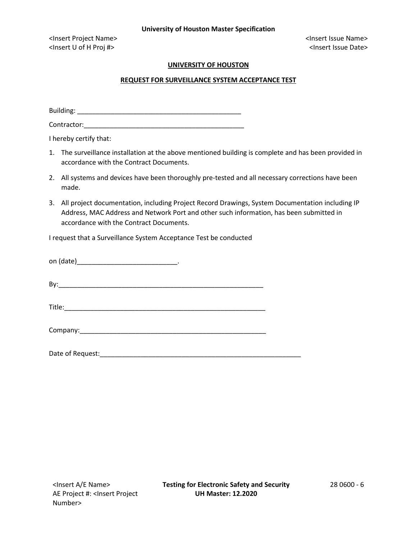<Insert Project Name> <Insert Issue Name> <Insert U of H Proj #> <Insert Issue Date>

## **UNIVERSITY OF HOUSTON**

## **REQUEST FOR SURVEILLANCE SYSTEM ACCEPTANCE TEST**

Building: \_\_\_\_\_\_\_\_\_\_\_\_\_\_\_\_\_\_\_\_\_\_\_\_\_\_\_\_\_\_\_\_\_\_\_\_\_\_\_\_\_\_\_\_

Contractor:

I hereby certify that:

- 1. The surveillance installation at the above mentioned building is complete and has been provided in accordance with the Contract Documents.
- 2. All systems and devices have been thoroughly pre-tested and all necessary corrections have been made.
- 3. All project documentation, including Project Record Drawings, System Documentation including IP Address, MAC Address and Network Port and other such information, has been submitted in accordance with the Contract Documents.

I request that a Surveillance System Acceptance Test be conducted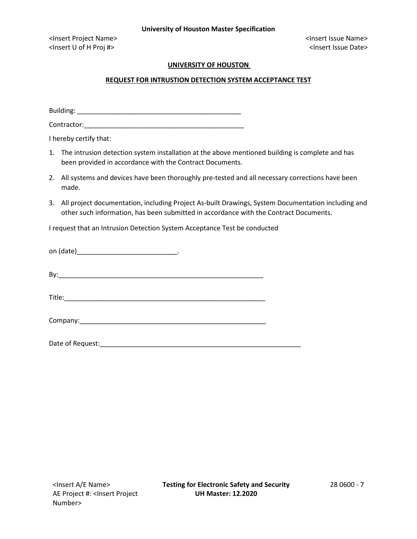<Insert Project Name> <Insert Issue Name> <Insert U of H Proj #> <Insert Issue Date>

## **UNIVERSITY OF HOUSTON**

# **REQUEST FOR INTRUSTION DETECTION SYSTEM ACCEPTANCE TEST**

Building: \_\_\_\_\_\_\_\_\_\_\_\_\_\_\_\_\_\_\_\_\_\_\_\_\_\_\_\_\_\_\_\_\_\_\_\_\_\_\_\_\_\_\_\_

Contractor:

I hereby certify that:

1. The intrusion detection system installation at the above mentioned building is complete and has been provided in accordance with the Contract Documents.

- 2. All systems and devices have been thoroughly pre-tested and all necessary corrections have been made.
- 3. All project documentation, including Project As-built Drawings, System Documentation including and other such information, has been submitted in accordance with the Contract Documents.

I request that an Intrusion Detection System Acceptance Test be conducted

| Date of Request:_ |  |
|-------------------|--|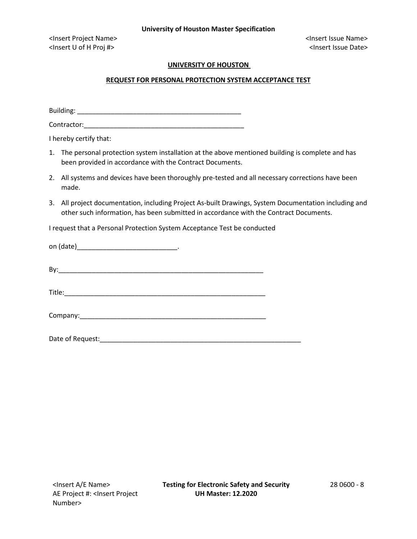<Insert Project Name> <Insert Issue Name> <Insert U of H Proj #> <Insert Issue Date>

# **UNIVERSITY OF HOUSTON**

# **REQUEST FOR PERSONAL PROTECTION SYSTEM ACCEPTANCE TEST**

Building: \_\_\_\_\_\_\_\_\_\_\_\_\_\_\_\_\_\_\_\_\_\_\_\_\_\_\_\_\_\_\_\_\_\_\_\_\_\_\_\_\_\_\_\_

Contractor:

I hereby certify that:

1. The personal protection system installation at the above mentioned building is complete and has been provided in accordance with the Contract Documents.

- 2. All systems and devices have been thoroughly pre-tested and all necessary corrections have been made.
- 3. All project documentation, including Project As-built Drawings, System Documentation including and other such information, has been submitted in accordance with the Contract Documents.

I request that a Personal Protection System Acceptance Test be conducted

| on (date) |  |  |
|-----------|--|--|
|           |  |  |

By:\_\_\_\_\_\_\_\_\_\_\_\_\_\_\_\_\_\_\_\_\_\_\_\_\_\_\_\_\_\_\_\_\_\_\_\_\_\_\_\_\_\_\_\_\_\_\_\_\_\_\_\_\_\_\_

Title:  $\Box$ 

| Company: |  |
|----------|--|
|          |  |

Date of Request: